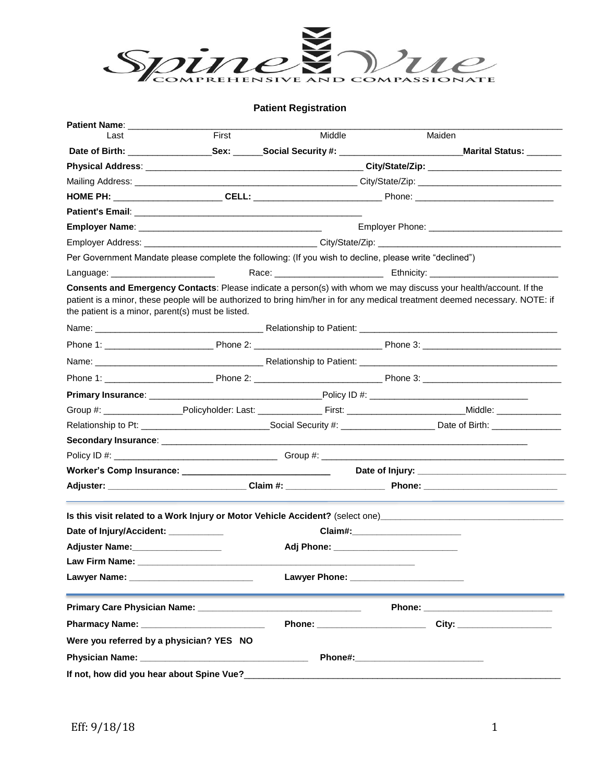

## **Patient Registration**

| Patient Name: ____________                                                                                                                                                                                                     |       |        |                                      |                                                                                                                                                                                                                                                   |  |  |
|--------------------------------------------------------------------------------------------------------------------------------------------------------------------------------------------------------------------------------|-------|--------|--------------------------------------|---------------------------------------------------------------------------------------------------------------------------------------------------------------------------------------------------------------------------------------------------|--|--|
| Last                                                                                                                                                                                                                           | First | Middle |                                      | Maiden                                                                                                                                                                                                                                            |  |  |
|                                                                                                                                                                                                                                |       |        |                                      |                                                                                                                                                                                                                                                   |  |  |
|                                                                                                                                                                                                                                |       |        |                                      |                                                                                                                                                                                                                                                   |  |  |
|                                                                                                                                                                                                                                |       |        |                                      |                                                                                                                                                                                                                                                   |  |  |
|                                                                                                                                                                                                                                |       |        |                                      |                                                                                                                                                                                                                                                   |  |  |
|                                                                                                                                                                                                                                |       |        |                                      |                                                                                                                                                                                                                                                   |  |  |
|                                                                                                                                                                                                                                |       |        |                                      |                                                                                                                                                                                                                                                   |  |  |
|                                                                                                                                                                                                                                |       |        |                                      |                                                                                                                                                                                                                                                   |  |  |
| Per Government Mandate please complete the following: (If you wish to decline, please write "declined")                                                                                                                        |       |        |                                      |                                                                                                                                                                                                                                                   |  |  |
| Language: New York Canada and Canada and Canada and Canada and Canada and Canada and Canada and Canada and Canada and Canada and Canada and Canada and Canada and Canada and Canada and Canada and Canada and Canada and Canad |       |        |                                      |                                                                                                                                                                                                                                                   |  |  |
| the patient is a minor, parent(s) must be listed.                                                                                                                                                                              |       |        |                                      | Consents and Emergency Contacts: Please indicate a person(s) with whom we may discuss your health/account. If the<br>patient is a minor, these people will be authorized to bring him/her in for any medical treatment deemed necessary. NOTE: if |  |  |
|                                                                                                                                                                                                                                |       |        |                                      |                                                                                                                                                                                                                                                   |  |  |
|                                                                                                                                                                                                                                |       |        |                                      |                                                                                                                                                                                                                                                   |  |  |
|                                                                                                                                                                                                                                |       |        |                                      |                                                                                                                                                                                                                                                   |  |  |
|                                                                                                                                                                                                                                |       |        |                                      |                                                                                                                                                                                                                                                   |  |  |
|                                                                                                                                                                                                                                |       |        |                                      |                                                                                                                                                                                                                                                   |  |  |
|                                                                                                                                                                                                                                |       |        |                                      | Group #: ______________________Policyholder: Last: _________________First: _______________________________Middle: ____________________                                                                                                            |  |  |
|                                                                                                                                                                                                                                |       |        |                                      | Relationship to Pt: _________________________________Social Security #: _______________________Date of Birth: ________________________                                                                                                            |  |  |
|                                                                                                                                                                                                                                |       |        |                                      |                                                                                                                                                                                                                                                   |  |  |
|                                                                                                                                                                                                                                |       |        |                                      |                                                                                                                                                                                                                                                   |  |  |
|                                                                                                                                                                                                                                |       |        |                                      |                                                                                                                                                                                                                                                   |  |  |
|                                                                                                                                                                                                                                |       |        |                                      | Adjuster: ___________________________Claim #: __________________________Phone: _______________________________                                                                                                                                    |  |  |
|                                                                                                                                                                                                                                |       |        |                                      | Is this visit related to a Work Injury or Motor Vehicle Accident? (select one)________________________________                                                                                                                                    |  |  |
| Date of Injury/Accident: _________                                                                                                                                                                                             |       |        | Claim#:_________________________     |                                                                                                                                                                                                                                                   |  |  |
| Adjuster Name: Mame: Adjuster Name: Adjuster Name: Adjuster Name: Adjustment of the U.S. Adjustment of the U.S                                                                                                                 |       |        | Adj Phone: _________________________ |                                                                                                                                                                                                                                                   |  |  |
| <b>Law Firm Name:</b>                                                                                                                                                                                                          |       |        |                                      |                                                                                                                                                                                                                                                   |  |  |
|                                                                                                                                                                                                                                |       |        |                                      |                                                                                                                                                                                                                                                   |  |  |
|                                                                                                                                                                                                                                |       |        |                                      |                                                                                                                                                                                                                                                   |  |  |
| Pharmacy Name: _____________________________                                                                                                                                                                                   |       |        |                                      |                                                                                                                                                                                                                                                   |  |  |
|                                                                                                                                                                                                                                |       |        |                                      |                                                                                                                                                                                                                                                   |  |  |
| Were you referred by a physician? YES NO                                                                                                                                                                                       |       |        |                                      |                                                                                                                                                                                                                                                   |  |  |
|                                                                                                                                                                                                                                |       |        | Phone#:____________________________  |                                                                                                                                                                                                                                                   |  |  |
|                                                                                                                                                                                                                                |       |        |                                      |                                                                                                                                                                                                                                                   |  |  |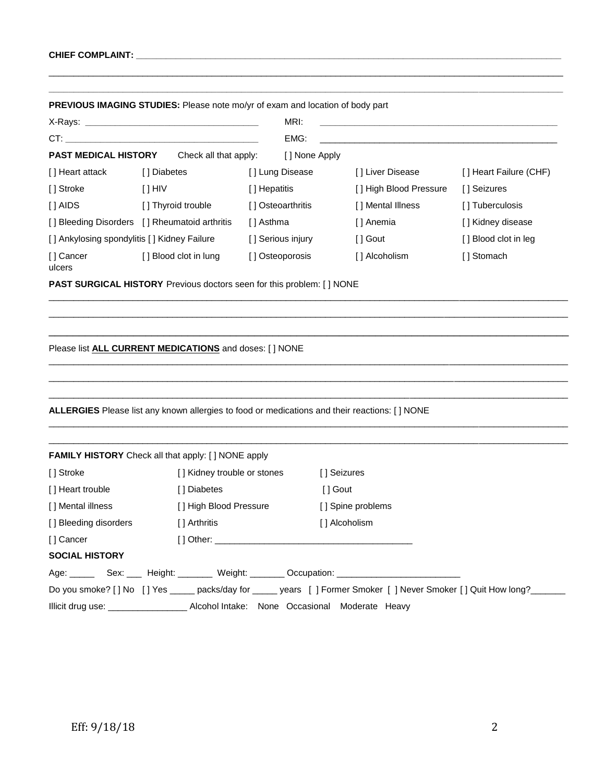|                                             | PREVIOUS IMAGING STUDIES: Please note mo/yr of exam and location of body part                                                                                                                                                  |                    |                                                                                                                               |                        |
|---------------------------------------------|--------------------------------------------------------------------------------------------------------------------------------------------------------------------------------------------------------------------------------|--------------------|-------------------------------------------------------------------------------------------------------------------------------|------------------------|
|                                             |                                                                                                                                                                                                                                | MRI:               | <u> 1989 - Johann John Stone, mars et al. 1989 - John Stone, mars et al. 1989 - John Stone, mars et al. 1989 - John Stone</u> |                        |
|                                             | CT: the contract of the contract of the contract of the contract of the contract of the contract of the contract of the contract of the contract of the contract of the contract of the contract of the contract of the contra | EMG:               |                                                                                                                               |                        |
| PAST MEDICAL HISTORY                        | Check all that apply:                                                                                                                                                                                                          |                    | [ ] None Apply                                                                                                                |                        |
| [] Heart attack                             | [] Diabetes                                                                                                                                                                                                                    | [] Lung Disease    | [] Liver Disease                                                                                                              | [] Heart Failure (CHF) |
| [] Stroke                                   | [ ] HIV                                                                                                                                                                                                                        | [ ] Hepatitis      | [] High Blood Pressure                                                                                                        | [] Seizures            |
| [] AIDS                                     | [] Thyroid trouble                                                                                                                                                                                                             | [] Osteoarthritis  | [] Mental Illness                                                                                                             | [] Tuberculosis        |
|                                             | [] Bleeding Disorders [] Rheumatoid arthritis                                                                                                                                                                                  | [ ] Asthma         | [] Anemia                                                                                                                     | [ ] Kidney disease     |
| [] Ankylosing spondylitis [] Kidney Failure |                                                                                                                                                                                                                                | [ ] Serious injury | [] Gout                                                                                                                       | [] Blood clot in leg   |
| [] Cancer<br>ulcers                         | [] Blood clot in lung                                                                                                                                                                                                          |                    | [] Osteoporosis<br>[ ] Alcoholism                                                                                             | [] Stomach             |
|                                             | <b>PAST SURGICAL HISTORY</b> Previous doctors seen for this problem: [ ] NONE                                                                                                                                                  |                    |                                                                                                                               |                        |
|                                             |                                                                                                                                                                                                                                |                    | ALLERGIES Please list any known allergies to food or medications and their reactions: [ ] NONE                                |                        |
|                                             | FAMILY HISTORY Check all that apply: [ ] NONE apply                                                                                                                                                                            |                    |                                                                                                                               |                        |
| [] Stroke                                   | [] Kidney trouble or stones                                                                                                                                                                                                    |                    | [] Seizures                                                                                                                   |                        |
| [] Heart trouble                            | [ ] Diabetes                                                                                                                                                                                                                   |                    | [] Gout                                                                                                                       |                        |
| [] Mental illness                           | [] High Blood Pressure                                                                                                                                                                                                         |                    | [] Spine problems                                                                                                             |                        |
| [] Bleeding disorders                       | [ ] Arthritis                                                                                                                                                                                                                  |                    | [] Alcoholism                                                                                                                 |                        |
| [] Cancer                                   |                                                                                                                                                                                                                                |                    |                                                                                                                               |                        |
| <b>SOCIAL HISTORY</b>                       |                                                                                                                                                                                                                                |                    |                                                                                                                               |                        |
|                                             |                                                                                                                                                                                                                                |                    | Age: _________Sex: _____ Height: _________ Weight: ________ Occupation: ___________________________                           |                        |
|                                             |                                                                                                                                                                                                                                |                    | Do you smoke? [] No [] Yes ____ packs/day for ____ years [] Former Smoker [] Never Smoker [] Quit How long?_____              |                        |
|                                             |                                                                                                                                                                                                                                |                    |                                                                                                                               |                        |

\_\_\_\_\_\_\_\_\_\_\_\_\_\_\_\_\_\_\_\_\_\_\_\_\_\_\_\_\_\_\_\_\_\_\_\_\_\_\_\_\_\_\_\_\_\_\_\_\_\_\_\_\_\_\_\_\_\_\_\_\_\_\_\_\_\_\_\_\_\_\_\_\_\_\_\_\_\_\_\_\_\_\_\_\_\_\_\_\_\_\_\_\_\_\_\_\_\_\_\_\_\_\_\_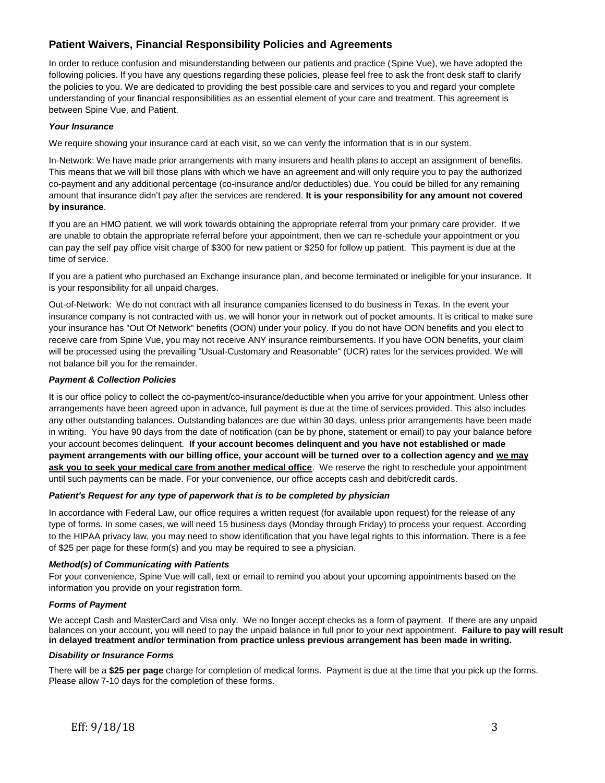## **Patient Waivers, Financial Responsibility Policies and Agreements**

In order to reduce confusion and misunderstanding between our patients and practice (Spine Vue), we have adopted the following policies. If you have any questions regarding these policies, please feel free to ask the front desk staff to clarify the policies to you. We are dedicated to providing the best possible care and services to you and regard your complete understanding of your financial responsibilities as an essential element of your care and treatment. This agreement is between Spine Vue, and Patient.

### *Your Insurance*

We require showing your insurance card at each visit, so we can verify the information that is in our system.

In-Network: We have made prior arrangements with many insurers and health plans to accept an assignment of benefits. This means that we will bill those plans with which we have an agreement and will only require you to pay the authorized co-payment and any additional percentage (co-insurance and/or deductibles) due. You could be billed for any remaining amount that insurance didn't pay after the services are rendered. **It is your responsibility for any amount not covered by insurance**.

If you are an HMO patient, we will work towards obtaining the appropriate referral from your primary care provider. If we are unable to obtain the appropriate referral before your appointment, then we can re-schedule your appointment or you can pay the self pay office visit charge of \$300 for new patient or \$250 for follow up patient. This payment is due at the time of service.

If you are a patient who purchased an Exchange insurance plan, and become terminated or ineligible for your insurance. It is your responsibility for all unpaid charges.

Out-of-Network: We do not contract with all insurance companies licensed to do business in Texas. In the event your insurance company is not contracted with us, we will honor your in network out of pocket amounts. It is critical to make sure your insurance has "Out Of Network" benefits (OON) under your policy. If you do not have OON benefits and you elect to receive care from Spine Vue, you may not receive ANY insurance reimbursements. If you have OON benefits, your claim will be processed using the prevailing "Usual-Customary and Reasonable" (UCR) rates for the services provided. We will not balance bill you for the remainder.

## *Payment & Collection Policies*

It is our office policy to collect the co-payment/co-insurance/deductible when you arrive for your appointment. Unless other arrangements have been agreed upon in advance, full payment is due at the time of services provided. This also includes any other outstanding balances. Outstanding balances are due within 30 days, unless prior arrangements have been made in writing. You have 90 days from the date of notification (can be by phone, statement or email) to pay your balance before your account becomes delinquent. **If your account becomes delinquent and you have not established or made payment arrangements with our billing office, your account will be turned over to a collection agency and we may ask you to seek your medical care from another medical office**. We reserve the right to reschedule your appointment until such payments can be made. For your convenience, our office accepts cash and debit/credit cards.

#### *Patient's Request for any type of paperwork that is to be completed by physician*

In accordance with Federal Law, our office requires a written request (for available upon request) for the release of any type of forms. In some cases, we will need 15 business days (Monday through Friday) to process your request. According to the HIPAA privacy law, you may need to show identification that you have legal rights to this information. There is a fee of \$25 per page for these form(s) and you may be required to see a physician.

#### *Method(s) of Communicating with Patients*

For your convenience, Spine Vue will call, text or email to remind you about your upcoming appointments based on the information you provide on your registration form.

#### *Forms of Payment*

We accept Cash and MasterCard and Visa only. We no longer accept checks as a form of payment. If there are any unpaid balances on your account, you will need to pay the unpaid balance in full prior to your next appointment. **Failure to pay will result in delayed treatment and/or termination from practice unless previous arrangement has been made in writing.**

#### *Disability or Insurance Forms*

There will be a **\$25 per page** charge for completion of medical forms. Payment is due at the time that you pick up the forms. Please allow 7-10 days for the completion of these forms.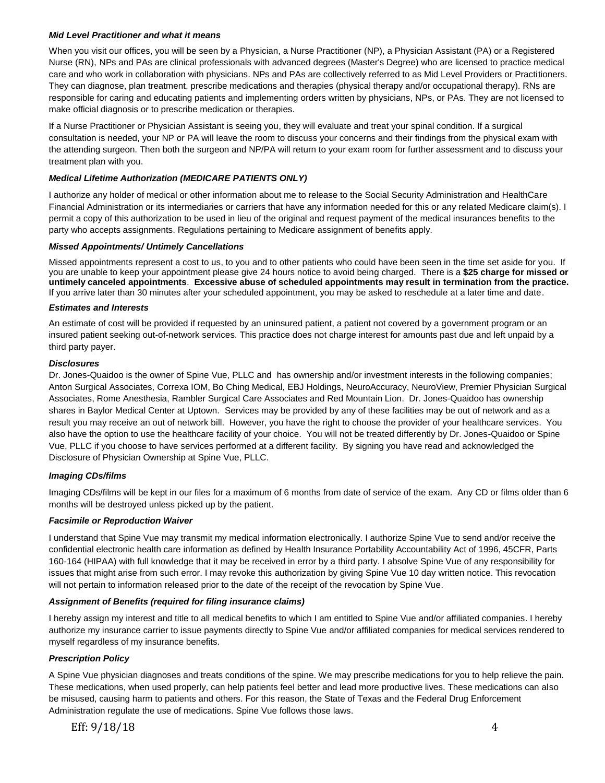### *Mid Level Practitioner and what it means*

When you visit our offices, you will be seen by a Physician, a Nurse Practitioner (NP), a Physician Assistant (PA) or a Registered Nurse (RN), NPs and PAs are clinical professionals with advanced degrees (Master's Degree) who are licensed to practice medical care and who work in collaboration with physicians. NPs and PAs are collectively referred to as Mid Level Providers or Practitioners. They can diagnose, plan treatment, prescribe medications and therapies (physical therapy and/or occupational therapy). RNs are responsible for caring and educating patients and implementing orders written by physicians, NPs, or PAs. They are not licensed to make official diagnosis or to prescribe medication or therapies.

If a Nurse Practitioner or Physician Assistant is seeing you, they will evaluate and treat your spinal condition. If a surgical consultation is needed, your NP or PA will leave the room to discuss your concerns and their findings from the physical exam with the attending surgeon. Then both the surgeon and NP/PA will return to your exam room for further assessment and to discuss your treatment plan with you.

## *Medical Lifetime Authorization (MEDICARE PATIENTS ONLY)*

I authorize any holder of medical or other information about me to release to the Social Security Administration and HealthCare Financial Administration or its intermediaries or carriers that have any information needed for this or any related Medicare claim(s). I permit a copy of this authorization to be used in lieu of the original and request payment of the medical insurances benefits to the party who accepts assignments. Regulations pertaining to Medicare assignment of benefits apply.

#### *Missed Appointments/ Untimely Cancellations*

Missed appointments represent a cost to us, to you and to other patients who could have been seen in the time set aside for you. If you are unable to keep your appointment please give 24 hours notice to avoid being charged. There is a **\$25 charge for missed or untimely canceled appointments**. **Excessive abuse of scheduled appointments may result in termination from the practice.** If you arrive later than 30 minutes after your scheduled appointment, you may be asked to reschedule at a later time and date.

#### *Estimates and Interests*

An estimate of cost will be provided if requested by an uninsured patient, a patient not covered by a government program or an insured patient seeking out-of-network services. This practice does not charge interest for amounts past due and left unpaid by a third party payer.

#### *Disclosures*

Dr. Jones-Quaidoo is the owner of Spine Vue, PLLC and has ownership and/or investment interests in the following companies; Anton Surgical Associates, Correxa IOM, Bo Ching Medical, EBJ Holdings, NeuroAccuracy, NeuroView, Premier Physician Surgical Associates, Rome Anesthesia, Rambler Surgical Care Associates and Red Mountain Lion. Dr. Jones-Quaidoo has ownership shares in Baylor Medical Center at Uptown. Services may be provided by any of these facilities may be out of network and as a result you may receive an out of network bill. However, you have the right to choose the provider of your healthcare services. You also have the option to use the healthcare facility of your choice. You will not be treated differently by Dr. Jones-Quaidoo or Spine Vue, PLLC if you choose to have services performed at a different facility. By signing you have read and acknowledged the Disclosure of Physician Ownership at Spine Vue, PLLC.

## *Imaging CDs/films*

Imaging CDs/films will be kept in our files for a maximum of 6 months from date of service of the exam. Any CD or films older than 6 months will be destroyed unless picked up by the patient.

## *Facsimile or Reproduction Waiver*

I understand that Spine Vue may transmit my medical information electronically. I authorize Spine Vue to send and/or receive the confidential electronic health care information as defined by Health Insurance Portability Accountability Act of 1996, 45CFR, Parts 160-164 (HIPAA) with full knowledge that it may be received in error by a third party. I absolve Spine Vue of any responsibility for issues that might arise from such error. I may revoke this authorization by giving Spine Vue 10 day written notice. This revocation will not pertain to information released prior to the date of the receipt of the revocation by Spine Vue.

## *Assignment of Benefits (required for filing insurance claims)*

I hereby assign my interest and title to all medical benefits to which I am entitled to Spine Vue and/or affiliated companies. I hereby authorize my insurance carrier to issue payments directly to Spine Vue and/or affiliated companies for medical services rendered to myself regardless of my insurance benefits.

## *Prescription Policy*

A Spine Vue physician diagnoses and treats conditions of the spine. We may prescribe medications for you to help relieve the pain. These medications, when used properly, can help patients feel better and lead more productive lives. These medications can also be misused, causing harm to patients and others. For this reason, the State of Texas and the Federal Drug Enforcement Administration regulate the use of medications. Spine Vue follows those laws.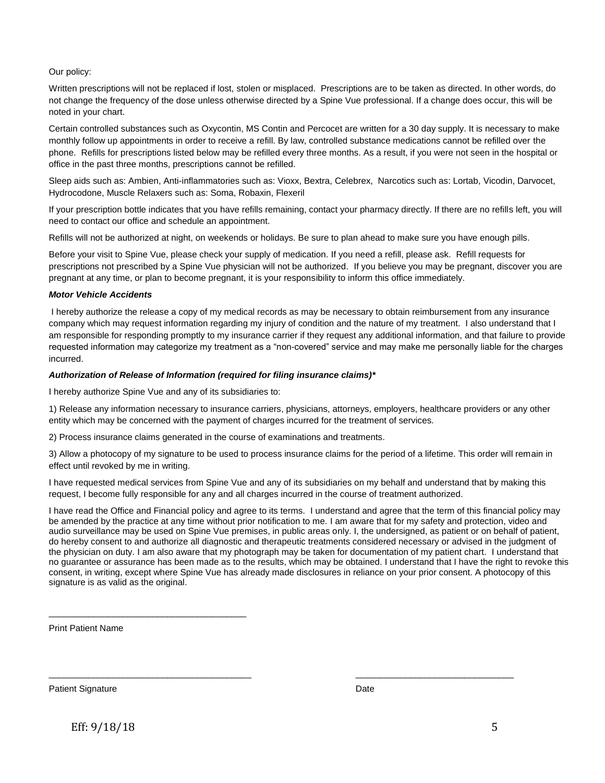## Our policy:

Written prescriptions will not be replaced if lost, stolen or misplaced. Prescriptions are to be taken as directed. In other words, do not change the frequency of the dose unless otherwise directed by a Spine Vue professional. If a change does occur, this will be noted in your chart.

Certain controlled substances such as Oxycontin, MS Contin and Percocet are written for a 30 day supply. It is necessary to make monthly follow up appointments in order to receive a refill. By law, controlled substance medications cannot be refilled over the phone. Refills for prescriptions listed below may be refilled every three months. As a result, if you were not seen in the hospital or office in the past three months, prescriptions cannot be refilled.

Sleep aids such as: Ambien, Anti-inflammatories such as: Vioxx, Bextra, Celebrex, Narcotics such as: Lortab, Vicodin, Darvocet, Hydrocodone, Muscle Relaxers such as: Soma, Robaxin, Flexeril

If your prescription bottle indicates that you have refills remaining, contact your pharmacy directly. If there are no refills left, you will need to contact our office and schedule an appointment.

Refills will not be authorized at night, on weekends or holidays. Be sure to plan ahead to make sure you have enough pills.

Before your visit to Spine Vue, please check your supply of medication. If you need a refill, please ask. Refill requests for prescriptions not prescribed by a Spine Vue physician will not be authorized. If you believe you may be pregnant, discover you are pregnant at any time, or plan to become pregnant, it is your responsibility to inform this office immediately.

#### *Motor Vehicle Accidents*

I hereby authorize the release a copy of my medical records as may be necessary to obtain reimbursement from any insurance company which may request information regarding my injury of condition and the nature of my treatment. I also understand that I am responsible for responding promptly to my insurance carrier if they request any additional information, and that failure to provide requested information may categorize my treatment as a "non-covered" service and may make me personally liable for the charges incurred.

#### *Authorization of Release of Information (required for filing insurance claims)\**

I hereby authorize Spine Vue and any of its subsidiaries to:

\_\_\_\_\_\_\_\_\_\_\_\_\_\_\_\_\_\_\_\_\_\_\_\_\_\_\_\_\_\_\_\_\_\_\_\_\_\_\_\_

1) Release any information necessary to insurance carriers, physicians, attorneys, employers, healthcare providers or any other entity which may be concerned with the payment of charges incurred for the treatment of services.

2) Process insurance claims generated in the course of examinations and treatments.

3) Allow a photocopy of my signature to be used to process insurance claims for the period of a lifetime. This order will remain in effect until revoked by me in writing.

I have requested medical services from Spine Vue and any of its subsidiaries on my behalf and understand that by making this request, I become fully responsible for any and all charges incurred in the course of treatment authorized.

I have read the Office and Financial policy and agree to its terms. I understand and agree that the term of this financial policy may be amended by the practice at any time without prior notification to me. I am aware that for my safety and protection, video and audio surveillance may be used on Spine Vue premises, in public areas only. I, the undersigned, as patient or on behalf of patient, do hereby consent to and authorize all diagnostic and therapeutic treatments considered necessary or advised in the judgment of the physician on duty. I am also aware that my photograph may be taken for documentation of my patient chart. I understand that no guarantee or assurance has been made as to the results, which may be obtained. I understand that I have the right to revoke this consent, in writing, except where Spine Vue has already made disclosures in reliance on your prior consent. A photocopy of this signature is as valid as the original.

\_\_\_\_\_\_\_\_\_\_\_\_\_\_\_\_\_\_\_\_\_\_\_\_\_\_\_\_\_\_\_\_\_\_\_\_\_\_\_\_\_ \_\_\_\_\_\_\_\_\_\_\_\_\_\_\_\_\_\_\_\_\_\_\_\_\_\_\_\_\_\_\_\_

Print Patient Name

Patient Signature Date Date of the Date of the Date Date Date Date Date Date Date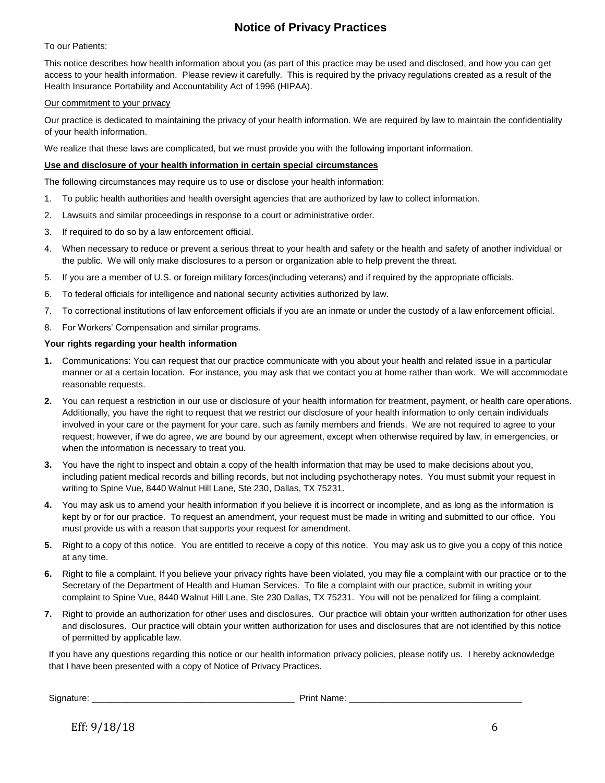# **Notice of Privacy Practices**

To our Patients:

This notice describes how health information about you (as part of this practice may be used and disclosed, and how you can get access to your health information. Please review it carefully. This is required by the privacy regulations created as a result of the Health Insurance Portability and Accountability Act of 1996 (HIPAA).

## Our commitment to your privacy

Our practice is dedicated to maintaining the privacy of your health information. We are required by law to maintain the confidentiality of your health information.

We realize that these laws are complicated, but we must provide you with the following important information.

## **Use and disclosure of your health information in certain special circumstances**

The following circumstances may require us to use or disclose your health information:

- 1. To public health authorities and health oversight agencies that are authorized by law to collect information.
- 2. Lawsuits and similar proceedings in response to a court or administrative order.
- 3. If required to do so by a law enforcement official.
- 4. When necessary to reduce or prevent a serious threat to your health and safety or the health and safety of another individual or the public. We will only make disclosures to a person or organization able to help prevent the threat.
- 5. If you are a member of U.S. or foreign military forces(including veterans) and if required by the appropriate officials.
- 6. To federal officials for intelligence and national security activities authorized by law.
- 7. To correctional institutions of law enforcement officials if you are an inmate or under the custody of a law enforcement official.
- 8. For Workers' Compensation and similar programs.

## **Your rights regarding your health information**

- **1.** Communications: You can request that our practice communicate with you about your health and related issue in a particular manner or at a certain location. For instance, you may ask that we contact you at home rather than work. We will accommodate reasonable requests.
- **2.** You can request a restriction in our use or disclosure of your health information for treatment, payment, or health care operations. Additionally, you have the right to request that we restrict our disclosure of your health information to only certain individuals involved in your care or the payment for your care, such as family members and friends. We are not required to agree to your request; however, if we do agree, we are bound by our agreement, except when otherwise required by law, in emergencies, or when the information is necessary to treat you.
- **3.** You have the right to inspect and obtain a copy of the health information that may be used to make decisions about you, including patient medical records and billing records, but not including psychotherapy notes. You must submit your request in writing to Spine Vue, 8440 Walnut Hill Lane, Ste 230, Dallas, TX 75231.
- **4.** You may ask us to amend your health information if you believe it is incorrect or incomplete, and as long as the information is kept by or for our practice. To request an amendment, your request must be made in writing and submitted to our office. You must provide us with a reason that supports your request for amendment.
- **5.** Right to a copy of this notice. You are entitled to receive a copy of this notice. You may ask us to give you a copy of this notice at any time.
- **6.** Right to file a complaint. If you believe your privacy rights have been violated, you may file a complaint with our practice or to the Secretary of the Department of Health and Human Services. To file a complaint with our practice, submit in writing your complaint to Spine Vue, 8440 Walnut Hill Lane, Ste 230 Dallas, TX 75231. You will not be penalized for filing a complaint.
- **7.** Right to provide an authorization for other uses and disclosures. Our practice will obtain your written authorization for other uses and disclosures. Our practice will obtain your written authorization for uses and disclosures that are not identified by this notice of permitted by applicable law.

If you have any questions regarding this notice or our health information privacy policies, please notify us. I hereby acknowledge that I have been presented with a copy of Notice of Privacy Practices.

Signature: \_\_\_\_\_\_\_\_\_\_\_\_\_\_\_\_\_\_\_\_\_\_\_\_\_\_\_\_\_\_\_\_\_\_\_\_\_\_\_\_\_ Print Name: \_\_\_\_\_\_\_\_\_\_\_\_\_\_\_\_\_\_\_\_\_\_\_\_\_\_\_\_\_\_\_\_\_\_\_

Eff: 9/18/18 6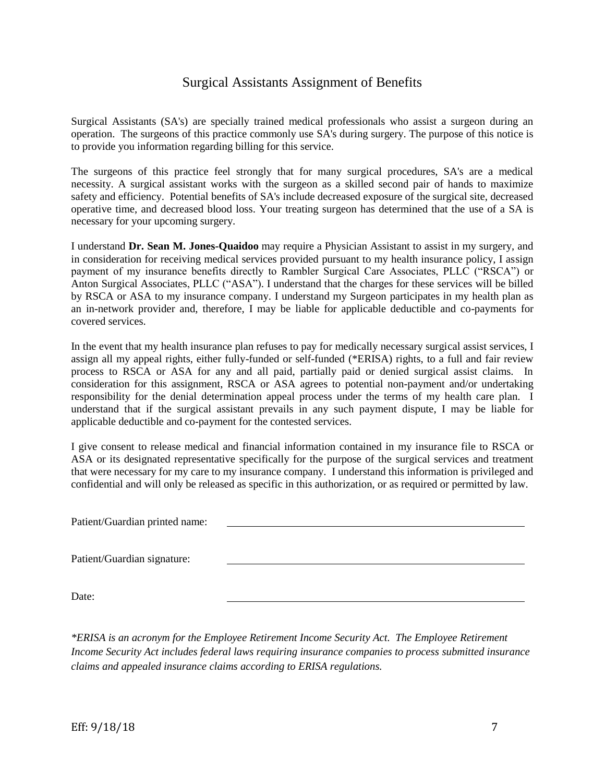# Surgical Assistants Assignment of Benefits

Surgical Assistants (SA's) are specially trained medical professionals who assist a surgeon during an operation. The surgeons of this practice commonly use SA's during surgery. The purpose of this notice is to provide you information regarding billing for this service.

The surgeons of this practice feel strongly that for many surgical procedures, SA's are a medical necessity. A surgical assistant works with the surgeon as a skilled second pair of hands to maximize safety and efficiency. Potential benefits of SA's include decreased exposure of the surgical site, decreased operative time, and decreased blood loss. Your treating surgeon has determined that the use of a SA is necessary for your upcoming surgery.

I understand **Dr. Sean M. Jones-Quaidoo** may require a Physician Assistant to assist in my surgery, and in consideration for receiving medical services provided pursuant to my health insurance policy, I assign payment of my insurance benefits directly to Rambler Surgical Care Associates, PLLC ("RSCA") or Anton Surgical Associates, PLLC ("ASA"). I understand that the charges for these services will be billed by RSCA or ASA to my insurance company. I understand my Surgeon participates in my health plan as an in-network provider and, therefore, I may be liable for applicable deductible and co-payments for covered services.

In the event that my health insurance plan refuses to pay for medically necessary surgical assist services, I assign all my appeal rights, either fully-funded or self-funded (\*ERISA) rights, to a full and fair review process to RSCA or ASA for any and all paid, partially paid or denied surgical assist claims. In consideration for this assignment, RSCA or ASA agrees to potential non-payment and/or undertaking responsibility for the denial determination appeal process under the terms of my health care plan. I understand that if the surgical assistant prevails in any such payment dispute, I may be liable for applicable deductible and co-payment for the contested services.

I give consent to release medical and financial information contained in my insurance file to RSCA or ASA or its designated representative specifically for the purpose of the surgical services and treatment that were necessary for my care to my insurance company. I understand this information is privileged and confidential and will only be released as specific in this authorization, or as required or permitted by law.

Patient/Guardian printed name:

Patient/Guardian signature:

Date:

*\*ERISA is an acronym for the Employee Retirement Income Security Act. The Employee Retirement Income Security Act includes federal laws requiring insurance companies to process submitted insurance claims and appealed insurance claims according to ERISA regulations.*